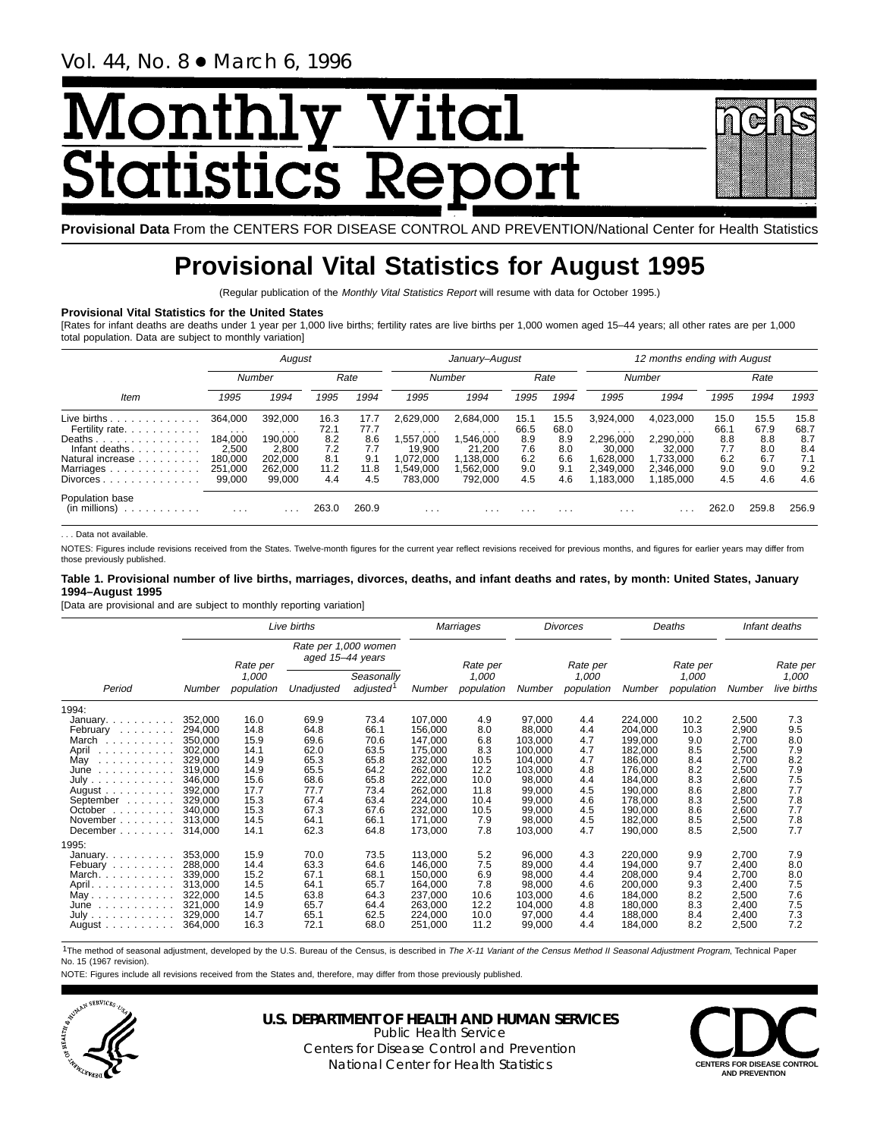# <u>Monthl</u> <u>y Vital</u> **Statistics Report**

**Provisional Data** From the CENTERS FOR DISEASE CONTROL AND PREVENTION/National Center for Health Statistics

# **Provisional Vital Statistics for August 1995**

(Regular publication of the Monthly Vital Statistics Report will resume with data for October 1995.)

### **Provisional Vital Statistics for the United States**

[Rates for infant deaths are deaths under 1 year per 1,000 live births; fertility rates are live births per 1,000 women aged 15–44 years; all other rates are per 1,000 total population. Data are subject to monthly variation]

|                                                                                                                               | August                                                                  |                                                                         |                                                  |                                                  | January-August                                                                  |                                                                                 |                                                 |                                                 | 12 months ending with August                                                      |                                                                                     |                                                 |                                                 |                                                 |  |
|-------------------------------------------------------------------------------------------------------------------------------|-------------------------------------------------------------------------|-------------------------------------------------------------------------|--------------------------------------------------|--------------------------------------------------|---------------------------------------------------------------------------------|---------------------------------------------------------------------------------|-------------------------------------------------|-------------------------------------------------|-----------------------------------------------------------------------------------|-------------------------------------------------------------------------------------|-------------------------------------------------|-------------------------------------------------|-------------------------------------------------|--|
|                                                                                                                               | Number                                                                  |                                                                         | Rate                                             |                                                  | Number                                                                          |                                                                                 | Rate                                            |                                                 | <b>Number</b>                                                                     |                                                                                     | Rate                                            |                                                 |                                                 |  |
| Item                                                                                                                          | 1995                                                                    | 1994                                                                    | 1995                                             | 1994                                             | 1995                                                                            | 1994                                                                            | 1995                                            | 1994                                            | 1995                                                                              | 1994                                                                                | 1995                                            | 1994                                            | 1993                                            |  |
| Live births.<br>.<br>Fertility rate.<br>Deaths<br>Infant deaths.<br>.<br>Natural increase<br>Marriages<br>.<br>Divorces.<br>. | 364.000<br>$\cdots$<br>184.000<br>2.500<br>180.000<br>251.000<br>99,000 | 392.000<br>$\cdots$<br>190.000<br>2.800<br>202.000<br>262,000<br>99.000 | 16.3<br>72.1<br>8.2<br>7.2<br>8.1<br>11.2<br>4.4 | 17.7<br>77.7<br>8.6<br>7.7<br>9.1<br>11.8<br>4.5 | 2.629.000<br>$\cdots$<br>,557,000<br>19.900<br>1.072.000<br>,549,000<br>783.000 | 2.684.000<br>$\cdots$<br>,546,000<br>21.200<br>1,138,000<br>.562.000<br>792.000 | 15.1<br>66.5<br>8.9<br>7.6<br>6.2<br>9.0<br>4.5 | 15.5<br>68.0<br>8.9<br>8.0<br>6.6<br>9.1<br>4.6 | 3.924.000<br>$\cdots$<br>2,296,000<br>30.000<br>.628.000<br>2.349.000<br>.183.000 | 4.023.000<br>$\cdots$<br>2,290,000<br>32.000<br>1.733.000<br>2.346.000<br>1.185.000 | 15.0<br>66.1<br>8.8<br>7.7<br>6.2<br>9.0<br>4.5 | 15.5<br>67.9<br>8.8<br>8.0<br>6.7<br>9.0<br>4.6 | 15.8<br>68.7<br>8.7<br>8.4<br>7.1<br>9.2<br>4.6 |  |
| Population base<br>(in millions)<br>.                                                                                         | $\cdot$ $\cdot$ $\cdot$                                                 |                                                                         | 263.0                                            | 260.9                                            | $\cdots$                                                                        | .                                                                               | .                                               | .                                               | .                                                                                 |                                                                                     | 262.0                                           | 259.8                                           | 256.9                                           |  |

. . . Data not available.

NOTES: Figures include revisions received from the States. Twelve-month figures for the current year reflect revisions received for previous months, and figures for earlier years may differ from those previously published.

### **Table 1. Provisional number of live births, marriages, divorces, deaths, and infant deaths and rates, by month: United States, January 1994–August 1995**

[Data are provisional and are subject to monthly reporting variation]

|                                            | Live births        |                     |                                          |                                     |                    | Marriages           |                    | <b>Divorces</b>     |                    | Deaths              |                | Infant deaths        |  |
|--------------------------------------------|--------------------|---------------------|------------------------------------------|-------------------------------------|--------------------|---------------------|--------------------|---------------------|--------------------|---------------------|----------------|----------------------|--|
|                                            |                    | Rate per            | Rate per 1,000 women<br>aged 15-44 years |                                     |                    | Rate per            |                    | Rate per            |                    | Rate per            |                | Rate per             |  |
| Period                                     | Number             | 1,000<br>population | Unadjusted                               | Seasonally<br>adjusted <sup>1</sup> | Number             | 1,000<br>population | Number             | 1,000<br>population | Number             | 1,000<br>population | Number         | 1,000<br>live births |  |
| 1994:                                      |                    |                     |                                          |                                     |                    |                     |                    |                     |                    |                     |                |                      |  |
| January.                                   | 352,000            | 16.0                | 69.9                                     | 73.4                                | 107,000            | 4.9                 | 97,000             | 4.4                 | 224,000            | 10.2                | 2,500          | 7.3                  |  |
| February                                   | 294,000            | 14.8                | 64.8                                     | 66.1                                | 156,000            | 8.0                 | 88,000             | 4.4                 | 204,000            | 10.3                | 2,900          | 9.5                  |  |
| March                                      | 350,000            | 15.9                | 69.6                                     | 70.6                                | 147,000            | 6.8                 | 103.000            | 4.7                 | 199,000            | 9.0                 | 2,700          | 8.0                  |  |
| April                                      | 302,000            | 14.1                | 62.0                                     | 63.5                                | 175,000            | 8.3                 | 100,000            | 4.7<br>4.7          | 182,000            | 8.5                 | 2,500          | 7.9<br>8.2           |  |
| May<br>والمتحادث والمتحاد والمناور<br>June | 329,000<br>319,000 | 14.9<br>14.9        | 65.3<br>65.5                             | 65.8<br>64.2                        | 232,000<br>262,000 | 10.5<br>12.2        | 104,000<br>103,000 | 4.8                 | 186,000<br>176,000 | 8.4<br>8.2          | 2,700<br>2,500 | 7.9                  |  |
| .<br>July                                  | 346.000            | 15.6                | 68.6                                     | 65.8                                | 222,000            | 10.0                | 98,000             | 4.4                 | 184,000            | 8.3                 | 2,600          | 7.5                  |  |
| August $\ldots$ , $\ldots$ ,               | 392.000            | 17.7                | 77.7                                     | 73.4                                | 262,000            | 11.8                | 99,000             | 4.5                 | 190,000            | 8.6                 | 2,800          | 7.7                  |  |
| September                                  | 329.000            | 15.3                | 67.4                                     | 63.4                                | 224.000            | 10.4                | 99.000             | 4.6                 | 178.000            | 8.3                 | 2,500          | 7.8                  |  |
| October $\ldots$ , $\ldots$                | 340.000            | 15.3                | 67.3                                     | 67.6                                | 232,000            | 10.5                | 99,000             | 4.5                 | 190,000            | 8.6                 | 2,600          | 7.7                  |  |
| November                                   | 313.000            | 14.5                | 64.1                                     | 66.1                                | 171,000            | 7.9                 | 98,000             | 4.5                 | 182,000            | 8.5                 | 2,500          | 7.8                  |  |
| December                                   | 314.000            | 14.1                | 62.3                                     | 64.8                                | 173,000            | 7.8                 | 103,000            | 4.7                 | 190,000            | 8.5                 | 2,500          | 7.7                  |  |
| 1995:                                      |                    |                     |                                          |                                     |                    |                     |                    |                     |                    |                     |                |                      |  |
| January.                                   | 353,000            | 15.9                | 70.0                                     | 73.5                                | 113,000            | 5.2                 | 96,000             | 4.3                 | 220,000            | 9.9                 | 2,700          | 7.9                  |  |
| Febuary                                    | 288,000            | 14.4                | 63.3                                     | 64.6                                | 146.000            | 7.5                 | 89,000             | 4.4                 | 194,000            | 9.7                 | 2,400          | 8.0                  |  |
| March.                                     | 339,000            | 15.2                | 67.1                                     | 68.1                                | 150,000            | 6.9                 | 98,000             | 4.4                 | 208,000            | 9.4                 | 2,700          | 8.0                  |  |
| April.                                     | 313.000            | 14.5                | 64.1                                     | 65.7                                | 164,000            | 7.8                 | 98.000             | 4.6                 | 200.000            | 9.3                 | 2,400          | 7.5                  |  |
| $May \ldots \ldots \ldots \ldots$          | 322,000            | 14.5                | 63.8                                     | 64.3                                | 237,000            | 10.6                | 103,000            | 4.6                 | 184,000            | 8.2                 | 2,500          | 7.6                  |  |
| $June \dots \dots \dots \dots$             | 321,000            | 14.9                | 65.7                                     | 64.4                                | 263,000            | 12.2                | 104,000            | 4.8                 | 180,000            | 8.3                 | 2,400          | 7.5                  |  |
| July                                       | 329,000            | 14.7                | 65.1                                     | 62.5                                | 224,000            | 10.0                | 97,000             | 4.4                 | 188,000            | 8.4                 | 2,400          | 7.3                  |  |
| August                                     | 364,000            | 16.3                | 72.1                                     | 68.0                                | 251,000            | 11.2                | 99,000             | 4.4                 | 184,000            | 8.2                 | 2,500          | 7.2                  |  |

<sup>1</sup>The method of seasonal adjustment, developed by the U.S. Bureau of the Census, is described in The X-11 Variant of the Census Method II Seasonal Adjustment Program, Technical Paper No. 15 (1967 revision).

NOTE: Figures include all revisions received from the States and, therefore, may differ from those previously published.



**U.S. DEPARTMENT OF HEALTH AND HUMAN SERVICES**

Public Health Service Centers for Disease Control and Prevention National Center for Health Statistics **CENTERS FOR DISEASE CONTROL**